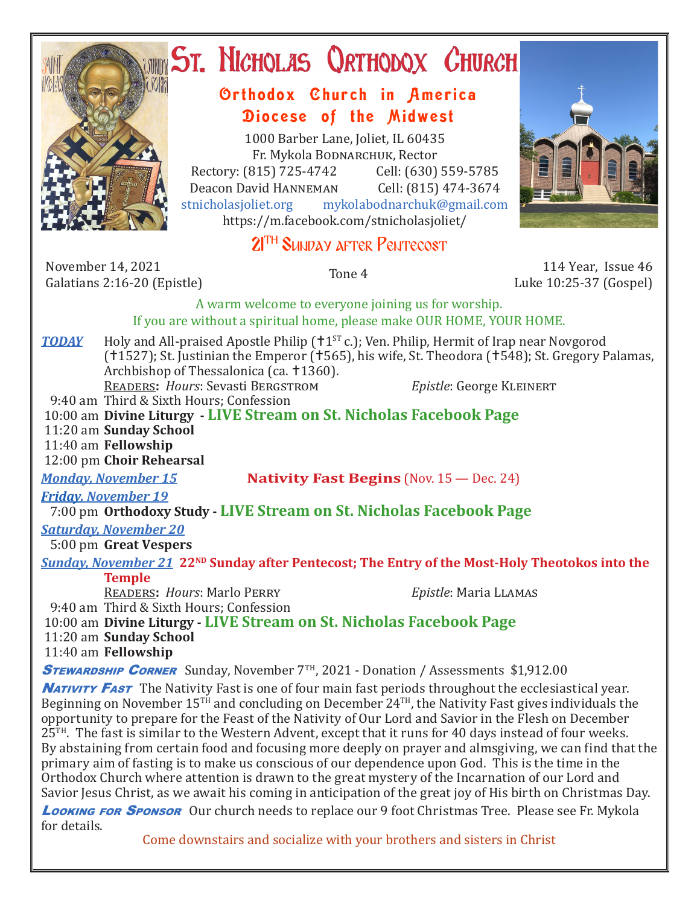

# ST. NICHOLAS QRTHODOX CHURCH

### Orthodox Church in America Diocese of the Midwest

1000 Barber Lane, Joliet, IL 60435 Fr. Mykola Bodnarchuk, Rector Rectory: (815) 725-4742 Cell: (630) 559-5785<br>Deacon David HANNEMAN Cell: (815) 474-3674 Deacon David HANNEMAN<br>stnicholasjoliet.org mykola mykolabodnarchuk@gmail.com https://m.facebook.com/stnicholasjoliet/

## 2<sup>TH</sup> SUNDAY AFTER PENTECOST

November 14, 2021 November 14, 2021 114 Year, Issue 46<br>Galatians 2:16-20 (Epistle) 115 Tone 4 10:25-37 (Gospel)

Luke 10:25-37 (Gospel)

A warm welcome to everyone joining us for worship.

### If you are without a spiritual home, please make OUR HOME, YOUR HOME.

**TODAY** Holy and All-praised Apostle Philip ( $1^{ST}$  c.); Ven. Philip, Hermit of Irap near Novgorod  $(11527)$ ; St. Justinian the Emperor  $(1565)$ , his wife, St. Theodora (1548); St. Gregory Palamas, Archbishop of Thessalonica (ca. †1360). Readers**:** *Hours*: Sevasti Bergstrom *Epistle*: George Kleinert

9:40 am Third & Sixth Hours; Confession

 10:00 am **Divine Liturgy - LIVE Stream on St. Nicholas Facebook Page** 11:20 am **Sunday School** 11:40 am **Fellowship**

12:00 pm **Choir Rehearsal**

*Monday, November 15* **Nativity Fast Begins** (Nov. 15 — Dec. 24)

*Friday, November 19* 

7:00 pm **Orthodoxy Study - LIVE Stream on St. Nicholas Facebook Page**

# *Saturday, November 20*

5:00 pm **Great Vespers**

#### *Sunday, November 21 22<sup>ND</sup> Sunday after Pentecost; The Entry of the Most-Holy Theotokos into the* **Temple**

Readers**:** *Hours*: Marlo Perry *Epistle*: Maria Llamas

9:40 am Third & Sixth Hours; Confession

 10:00 am **Divine Liturgy - LIVE Stream on St. Nicholas Facebook Page** 11:20 am **Sunday School**

11:40 am **Fellowship**

**STEWARDSHIP CORNER** Sunday, November 7<sup>TH</sup>, 2021 - Donation / Assessments \$1,912.00

**NATIVITY FAST** The Nativity Fast is one of four main fast periods throughout the ecclesiastical year. Beginning on November  $15^{T_H}$  and concluding on December  $24^{T_H}$ , the Nativity Fast gives individuals the opportunity to prepare for the Feast of the Nativity of Our Lord and Savior in the Flesh on December 25<sup>TH</sup>. The fast is similar to the Western Advent, except that it runs for 40 days instead of four weeks. By abstaining from certain food and focusing more deeply on prayer and almsgiving, we can find that the primary aim of fasting is to make us conscious of our dependence upon God. This is the time in the Orthodox Church where attention is drawn to the great mystery of the Incarnation of our Lord and Savior Jesus Christ, as we await his coming in anticipation of the great joy of His birth on Christmas Day.

**Looking for Sponsor** Our church needs to replace our 9 foot Christmas Tree. Please see Fr. Mykola for details.

Come downstairs and socialize with your brothers and sisters in Christ